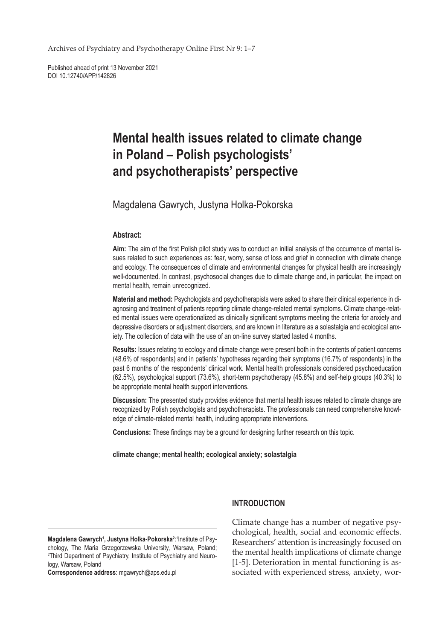Archives of Psychiatry and Psychotherapy Online First Nr 9: 1–7

Published ahead of print 13 November 2021 DOI 10.12740/APP/142826

# **Mental health issues related to climate change in Poland – Polish psychologists' and psychotherapists' perspective**

Magdalena Gawrych, Justyna Holka-Pokorska

#### **Abstract:**

**Aim:** The aim of the first Polish pilot study was to conduct an initial analysis of the occurrence of mental issues related to such experiences as: fear, worry, sense of loss and grief in connection with climate change and ecology. The consequences of climate and environmental changes for physical health are increasingly well-documented. In contrast, psychosocial changes due to climate change and, in particular, the impact on mental health, remain unrecognized.

**Material and method:** Psychologists and psychotherapists were asked to share their clinical experience in diagnosing and treatment of patients reporting climate change-related mental symptoms. Climate change-related mental issues were operationalized as clinically significant symptoms meeting the criteria for anxiety and depressive disorders or adjustment disorders, and are known in literature as a solastalgia and ecological anxiety. The collection of data with the use of an on-line survey started lasted 4 months.

**Results:** Issues relating to ecology and climate change were present both in the contents of patient concerns (48.6% of respondents) and in patients' hypotheses regarding their symptoms (16.7% of respondents) in the past 6 months of the respondents' clinical work. Mental health professionals considered psychoeducation (62.5%), psychological support (73.6%), short-term psychotherapy (45.8%) and self-help groups (40.3%) to be appropriate mental health support interventions.

**Discussion:** The presented study provides evidence that mental health issues related to climate change are recognized by Polish psychologists and psychotherapists. The professionals can need comprehensive knowledge of climate-related mental health, including appropriate interventions.

**Conclusions:** These findings may be a ground for designing further research on this topic.

**climate change; mental health; ecological anxiety; solastalgia**

Magdalena Gawrych<sup>1</sup>, Justyna Holka-Pokorska<sup>2:1</sup>Institute of Psychology, The Maria Grzegorzewska University, Warsaw, Poland; 2 Third Department of Psychiatry, Institute of Psychiatry and Neurology, Warsaw, Poland

**Correspondence address**: mgawrych@aps.edu.pl

## **INTRODUCTION**

Climate change has a number of negative psychological, health, social and economic effects. Researchers' attention is increasingly focused on the mental health implications of climate change [1-5]. Deterioration in mental functioning is associated with experienced stress, anxiety, wor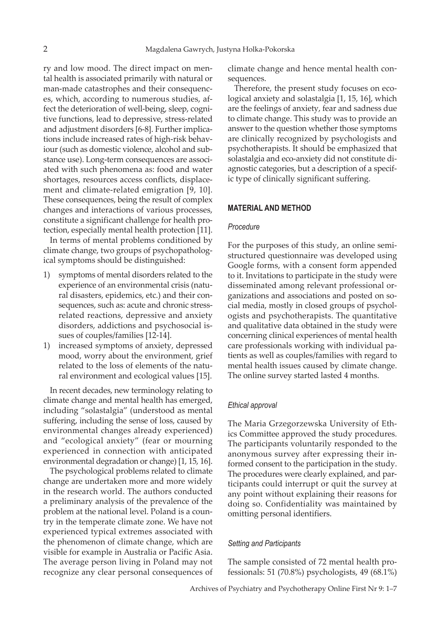ry and low mood. The direct impact on mental health is associated primarily with natural or man-made catastrophes and their consequences, which, according to numerous studies, affect the deterioration of well-being, sleep, cognitive functions, lead to depressive, stress-related and adjustment disorders [6-8]. Further implications include increased rates of high-risk behaviour (such as domestic violence, alcohol and substance use). Long-term consequences are associated with such phenomena as: food and water shortages, resources access conflicts, displacement and climate-related emigration [9, 10]. These consequences, being the result of complex changes and interactions of various processes, constitute a significant challenge for health protection, especially mental health protection [11].

In terms of mental problems conditioned by climate change, two groups of psychopathological symptoms should be distinguished:

- 1) symptoms of mental disorders related to the experience of an environmental crisis (natural disasters, epidemics, etc.) and their consequences, such as: acute and chronic stressrelated reactions, depressive and anxiety disorders, addictions and psychosocial issues of couples/families [12-14].
- 1) increased symptoms of anxiety, depressed mood, worry about the environment, grief related to the loss of elements of the natural environment and ecological values [15].

In recent decades, new terminology relating to climate change and mental health has emerged, including "solastalgia" (understood as mental suffering, including the sense of loss, caused by environmental changes already experienced) and "ecological anxiety" (fear or mourning experienced in connection with anticipated environmental degradation or change) [1, 15, 16].

The psychological problems related to climate change are undertaken more and more widely in the research world. The authors conducted a preliminary analysis of the prevalence of the problem at the national level. Poland is a country in the temperate climate zone. We have not experienced typical extremes associated with the phenomenon of climate change, which are visible for example in Australia or Pacific Asia. The average person living in Poland may not recognize any clear personal consequences of

climate change and hence mental health consequences.

Therefore, the present study focuses on ecological anxiety and solastalgia [1, 15, 16], which are the feelings of anxiety, fear and sadness due to climate change. This study was to provide an answer to the question whether those symptoms are clinically recognized by psychologists and psychotherapists. It should be emphasized that solastalgia and eco-anxiety did not constitute diagnostic categories, but a description of a specific type of clinically significant suffering.

## **MATERIAL AND METHOD**

#### *Procedure*

For the purposes of this study, an online semistructured questionnaire was developed using Google forms, with a consent form appended to it. Invitations to participate in the study were disseminated among relevant professional organizations and associations and posted on social media, mostly in closed groups of psychologists and psychotherapists. The quantitative and qualitative data obtained in the study were concerning clinical experiences of mental health care professionals working with individual patients as well as couples/families with regard to mental health issues caused by climate change. The online survey started lasted 4 months.

#### *Ethical approval*

The Maria Grzegorzewska University of Ethics Committee approved the study procedures. The participants voluntarily responded to the anonymous survey after expressing their informed consent to the participation in the study. The procedures were clearly explained, and participants could interrupt or quit the survey at any point without explaining their reasons for doing so. Confidentiality was maintained by omitting personal identifiers.

#### *Setting and Participants*

The sample consisted of 72 mental health professionals: 51 (70.8%) psychologists, 49 (68.1%)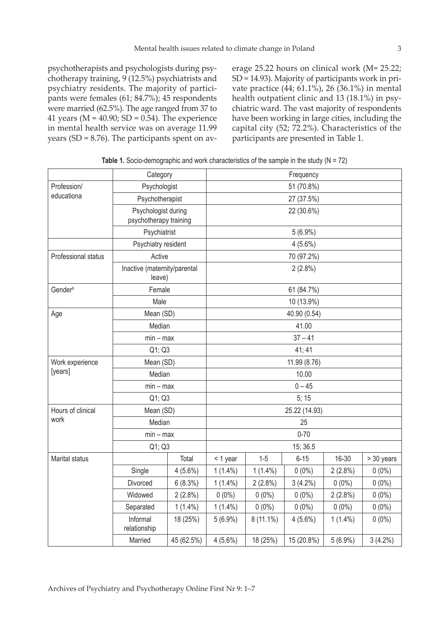psychotherapists and psychologists during psychotherapy training, 9 (12.5%) psychiatrists and psychiatry residents. The majority of participants were females (61; 84.7%); 45 respondents were married (62.5%). The age ranged from 37 to 41 years ( $M = 40.90$ ; SD = 0.54). The experience in mental health service was on average 11.99 years (SD = 8.76). The participants spent on average 25.22 hours on clinical work (M= 25.22; SD = 14.93). Majority of participants work in private practice (44; 61.1%), 26 (36.1%) in mental health outpatient clinic and 13 (18.1%) in psychiatric ward. The vast majority of respondents have been working in large cities, including the capital city (52; 72.2%). Characteristics of the participants are presented in Table 1.

|                     | Category                                      |              | Frequency     |             |            |            |            |  |
|---------------------|-----------------------------------------------|--------------|---------------|-------------|------------|------------|------------|--|
| Profession/         |                                               | Psychologist |               | 51 (70.8%)  |            |            |            |  |
| educationa          | Psychotherapist                               |              | 27 (37.5%)    |             |            |            |            |  |
|                     | Psychologist during<br>psychotherapy training |              | 22 (30.6%)    |             |            |            |            |  |
|                     | Psychiatrist                                  |              | $5(6.9\%)$    |             |            |            |            |  |
|                     | Psychiatry resident                           |              | $4(5.6\%)$    |             |            |            |            |  |
| Professional status | Active                                        |              | 70 (97.2%)    |             |            |            |            |  |
|                     | Inactive (maternity/parental<br>leave)        |              | $2(2.8\%)$    |             |            |            |            |  |
| Gender <sup>b</sup> | Female                                        |              | 61 (84.7%)    |             |            |            |            |  |
|                     | Male                                          |              |               | 10 (13.9%)  |            |            |            |  |
| Age                 | Mean (SD)                                     |              | 40.90 (0.54)  |             |            |            |            |  |
|                     |                                               | Median       |               | 41.00       |            |            |            |  |
|                     | $min - max$                                   |              | $37 - 41$     |             |            |            |            |  |
|                     | Q1; Q3                                        |              | 41; 41        |             |            |            |            |  |
| Work experience     | Mean (SD)                                     |              | 11.99 (8.76)  |             |            |            |            |  |
| [years]             | Median                                        |              | 10.00         |             |            |            |            |  |
|                     | $min - max$                                   |              | $0 - 45$      |             |            |            |            |  |
|                     | Q1; Q3                                        |              | 5; 15         |             |            |            |            |  |
| Hours of clinical   | Mean (SD)                                     |              | 25.22 (14.93) |             |            |            |            |  |
| work                | Median                                        |              | 25            |             |            |            |            |  |
|                     | $min - max$                                   |              | $0 - 70$      |             |            |            |            |  |
|                     | Q1; Q3                                        |              | 15; 36.5      |             |            |            |            |  |
| Marital status      |                                               | Total        | < 1 year      | $1-5$       | $6 - 15$   | 16-30      | > 30 years |  |
|                     | Single                                        | $4(5.6\%)$   | $1(1.4\%)$    | $1(1.4\%)$  | $0(0\%)$   | $2(2.8\%)$ | $0(0\%)$   |  |
|                     | Divorced                                      | 6(8.3%)      | $1(1.4\%)$    | $2(2.8\%)$  | $3(4.2\%)$ | $0(0\%)$   | $0(0\%)$   |  |
|                     | Widowed                                       | 2(2.8%)      | $0(0\%)$      | $0(0\%)$    | $0(0\%)$   | $2(2.8\%)$ | $0(0\%)$   |  |
|                     | Separated                                     | $1(1.4\%)$   | $1(1.4\%)$    | $0(0\%)$    | $0(0\%)$   | $0(0\%)$   | $0(0\%)$   |  |
|                     | Informal<br>relationship                      | 18 (25%)     | $5(6.9\%)$    | $8(11.1\%)$ | $4(5.6\%)$ | $1(1.4\%)$ | $0(0\%)$   |  |
|                     | Married                                       | 45 (62.5%)   | $4(5.6\%)$    | 18 (25%)    | 15 (20.8%) | $5(6.9\%)$ | $3(4.2\%)$ |  |

**Table 1.** Socio-demographic and work characteristics of the sample in the study (N = 72)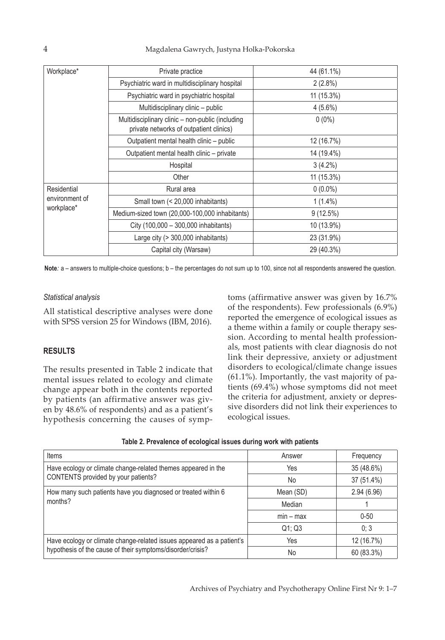| Workplace*                                  | Private practice                                                                            | 44 (61.1%)  |  |
|---------------------------------------------|---------------------------------------------------------------------------------------------|-------------|--|
|                                             | Psychiatric ward in multidisciplinary hospital                                              | $2(2.8\%)$  |  |
|                                             | Psychiatric ward in psychiatric hospital                                                    | 11 (15.3%)  |  |
|                                             | Multidisciplinary clinic - public                                                           | $4(5.6\%)$  |  |
|                                             | Multidisciplinary clinic - non-public (including<br>private networks of outpatient clinics) | $0(0\%)$    |  |
|                                             | Outpatient mental health clinic - public                                                    | 12 (16.7%)  |  |
|                                             | Outpatient mental health clinic - private                                                   | 14 (19.4%)  |  |
|                                             | Hospital                                                                                    | $3(4.2\%)$  |  |
|                                             | Other                                                                                       | 11 (15.3%)  |  |
| Residential<br>environment of<br>workplace* | Rural area                                                                                  | $0(0.0\%)$  |  |
|                                             | Small town (< 20,000 inhabitants)                                                           | $1(1.4\%)$  |  |
|                                             | Medium-sized town (20,000-100,000 inhabitants)                                              | $9(12.5\%)$ |  |
|                                             | City (100,000 - 300,000 inhabitants)                                                        | 10 (13.9%)  |  |
|                                             | Large city (> 300,000 inhabitants)                                                          | 23 (31.9%)  |  |
|                                             | Capital city (Warsaw)                                                                       | 29 (40.3%)  |  |

**Note***:* a – answers to multiple-choice questions; b – the percentages do not sum up to 100, since not all respondents answered the question.

## *Statistical analysis*

All statistical descriptive analyses were done with SPSS version 25 for Windows (IBM, 2016).

# **RESULTS**

The results presented in Table 2 indicate that mental issues related to ecology and climate change appear both in the contents reported by patients (an affirmative answer was given by 48.6% of respondents) and as a patient's hypothesis concerning the causes of symptoms (affirmative answer was given by 16.7% of the respondents). Few professionals (6.9%) reported the emergence of ecological issues as a theme within a family or couple therapy session. According to mental health professionals, most patients with clear diagnosis do not link their depressive, anxiety or adjustment disorders to ecological/climate change issues (61.1%). Importantly, the vast majority of patients (69.4%) whose symptoms did not meet the criteria for adjustment, anxiety or depressive disorders did not link their experiences to ecological issues.

| Table 2. Prevalence of ecological issues during work with patients |  |
|--------------------------------------------------------------------|--|
|--------------------------------------------------------------------|--|

| <b>Items</b>                                                          | Answer      | Frequency  |
|-----------------------------------------------------------------------|-------------|------------|
| Have ecology or climate change-related themes appeared in the         | Yes         | 35 (48.6%) |
| CONTENTS provided by your patients?                                   | No          | 37 (51.4%) |
| How many such patients have you diagnosed or treated within 6         | Mean (SD)   | 2.94(6.96) |
| months?                                                               | Median      |            |
|                                                                       | $min - max$ | $0 - 50$   |
|                                                                       | Q1; Q3      | 0; 3       |
| Have ecology or climate change-related issues appeared as a patient's | Yes         | 12 (16.7%) |
| hypothesis of the cause of their symptoms/disorder/crisis?            | No          | 60 (83.3%) |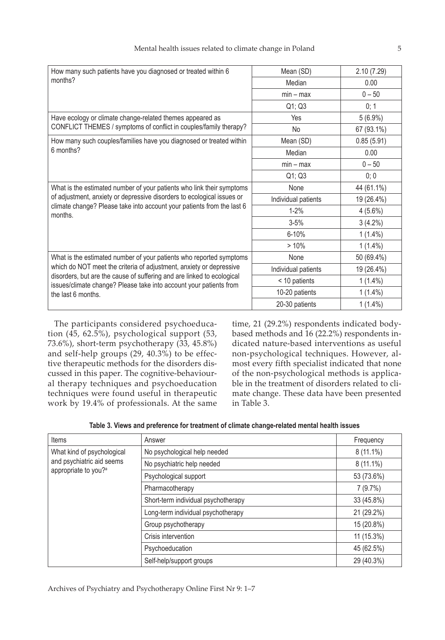| How many such patients have you diagnosed or treated within 6                                                                                | Mean (SD)           | 2.10(7.29) |
|----------------------------------------------------------------------------------------------------------------------------------------------|---------------------|------------|
| months?                                                                                                                                      | Median              | 0.00       |
|                                                                                                                                              | $min - max$         | $0 - 50$   |
|                                                                                                                                              | Q1; Q3              | 0; 1       |
| Have ecology or climate change-related themes appeared as                                                                                    | Yes                 | $5(6.9\%)$ |
| CONFLICT THEMES / symptoms of conflict in couples/family therapy?                                                                            | <b>No</b>           | 67 (93.1%) |
| How many such couples/families have you diagnosed or treated within                                                                          | Mean (SD)           | 0.85(5.91) |
| 6 months?                                                                                                                                    | Median              | 0.00       |
|                                                                                                                                              | $min - max$         | $0 - 50$   |
|                                                                                                                                              | Q1; Q3              | 0; 0       |
| What is the estimated number of your patients who link their symptoms                                                                        | None                | 44 (61.1%) |
| of adjustment, anxiety or depressive disorders to ecological issues or                                                                       | Individual patients | 19 (26.4%) |
| climate change? Please take into account your patients from the last 6<br>months.                                                            | $1 - 2%$            | $4(5.6\%)$ |
|                                                                                                                                              | $3 - 5%$            | $3(4.2\%)$ |
|                                                                                                                                              | 6-10%               | $1(1.4\%)$ |
|                                                                                                                                              | >10%                | $1(1.4\%)$ |
| What is the estimated number of your patients who reported symptoms                                                                          | None                | 50 (69.4%) |
| which do NOT meet the criteria of adjustment, anxiety or depressive                                                                          | Individual patients | 19 (26.4%) |
| disorders, but are the cause of suffering and are linked to ecological<br>issues/climate change? Please take into account your patients from | < 10 patients       | $1(1.4\%)$ |
| the last 6 months.                                                                                                                           | 10-20 patients      | $1(1.4\%)$ |
|                                                                                                                                              | 20-30 patients      | $1(1.4\%)$ |

The participants considered psychoeducation (45, 62.5%), psychological support (53, 73.6%), short-term psychotherapy (33, 45.8%) and self-help groups (29, 40.3%) to be effective therapeutic methods for the disorders discussed in this paper. The cognitive-behavioural therapy techniques and psychoeducation techniques were found useful in therapeutic work by 19.4% of professionals. At the same time, 21 (29.2%) respondents indicated bodybased methods and 16 (22.2%) respondents indicated nature-based interventions as useful non-psychological techniques. However, almost every fifth specialist indicated that none of the non-psychological methods is applicable in the treatment of disorders related to climate change. These data have been presented in Table 3.

| Items                                                                                       | Answer                              | Frequency   |
|---------------------------------------------------------------------------------------------|-------------------------------------|-------------|
| What kind of psychological<br>and psychiatric aid seems<br>appropriate to you? <sup>a</sup> | No psychological help needed        | $8(11.1\%)$ |
|                                                                                             | No psychiatric help needed          | $8(11.1\%)$ |
|                                                                                             | Psychological support               | 53 (73.6%)  |
|                                                                                             | Pharmacotherapy                     | 7(9.7%)     |
|                                                                                             | Short-term individual psychotherapy | 33 (45.8%)  |
|                                                                                             | Long-term individual psychotherapy  | 21 (29.2%)  |
|                                                                                             | Group psychotherapy                 | 15 (20.8%)  |
|                                                                                             | Crisis intervention                 | 11 (15.3%)  |
|                                                                                             | Psychoeducation                     | 45 (62.5%)  |
|                                                                                             | Self-help/support groups            | 29 (40.3%)  |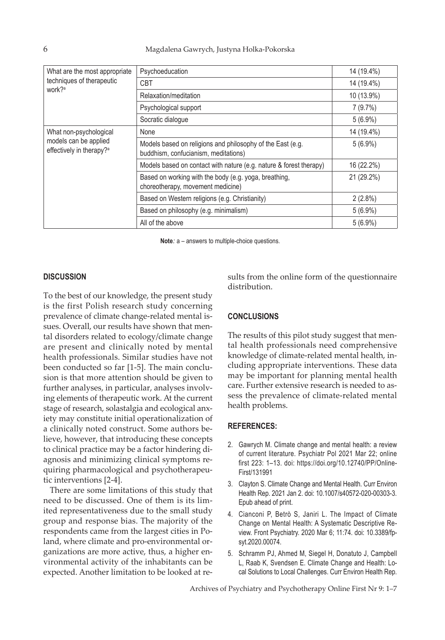| What are the most appropriate<br>techniques of therapeutic<br>work? <sup>a</sup> | Psychoeducation                                                                                    | 14 (19.4%) |
|----------------------------------------------------------------------------------|----------------------------------------------------------------------------------------------------|------------|
|                                                                                  | <b>CBT</b>                                                                                         | 14 (19.4%) |
|                                                                                  | Relaxation/meditation                                                                              | 10 (13.9%) |
|                                                                                  | Psychological support                                                                              | 7(9.7%)    |
|                                                                                  | Socratic dialogue                                                                                  | $5(6.9\%)$ |
| What non-psychological                                                           | None                                                                                               | 14 (19.4%) |
| models can be applied<br>effectively in therapy? <sup>a</sup>                    | Models based on religions and philosophy of the East (e.g.<br>buddhism, confucianism, meditations) | $5(6.9\%)$ |
|                                                                                  | Models based on contact with nature (e.g. nature & forest therapy)                                 | 16 (22.2%) |
|                                                                                  | Based on working with the body (e.g. yoga, breathing,<br>choreotherapy, movement medicine)         | 21 (29.2%) |
|                                                                                  | Based on Western religions (e.g. Christianity)                                                     | $2(2.8\%)$ |
|                                                                                  | Based on philosophy (e.g. minimalism)                                                              | $5(6.9\%)$ |
|                                                                                  | All of the above                                                                                   | $5(6.9\%)$ |

**Note***:* a – answers to multiple-choice questions.

## **DISCUSSION**

To the best of our knowledge, the present study is the first Polish research study concerning prevalence of climate change-related mental issues. Overall, our results have shown that mental disorders related to ecology/climate change are present and clinically noted by mental health professionals. Similar studies have not been conducted so far [1-5]. The main conclusion is that more attention should be given to further analyses, in particular, analyses involving elements of therapeutic work. At the current stage of research, solastalgia and ecological anxiety may constitute initial operationalization of a clinically noted construct. Some authors believe, however, that introducing these concepts to clinical practice may be a factor hindering diagnosis and minimizing clinical symptoms requiring pharmacological and psychotherapeutic interventions [2-4].

There are some limitations of this study that need to be discussed. One of them is its limited representativeness due to the small study group and response bias. The majority of the respondents came from the largest cities in Poland, where climate and pro-environmental organizations are more active, thus, a higher environmental activity of the inhabitants can be expected. Another limitation to be looked at results from the online form of the questionnaire distribution.

#### **CONCLUSIONS**

The results of this pilot study suggest that mental health professionals need comprehensive knowledge of climate-related mental health, including appropriate interventions. These data may be important for planning mental health care. Further extensive research is needed to assess the prevalence of climate-related mental health problems.

#### **REFERENCES:**

- 2. Gawrych M. Climate change and mental health: a review of current literature. Psychiatr Pol 2021 Mar 22; online first 223: 1–13. doi: https://doi.org/10.12740/PP/Online-First/131991
- 3. Clayton S. Climate Change and Mental Health. Curr Environ Health Rep. 2021 Jan 2. doi: 10.1007/s40572-020-00303-3. Epub ahead of print.
- 4. Cianconi P, Betrò S, Janiri L. The Impact of Climate Change on Mental Health: A Systematic Descriptive Review. Front Psychiatry. 2020 Mar 6; 11:74. doi: 10.3389/fpsyt.2020.00074.
- 5. Schramm PJ, Ahmed M, Siegel H, Donatuto J, Campbell L, Raab K, Svendsen E. Climate Change and Health: Local Solutions to Local Challenges. Curr Environ Health Rep.